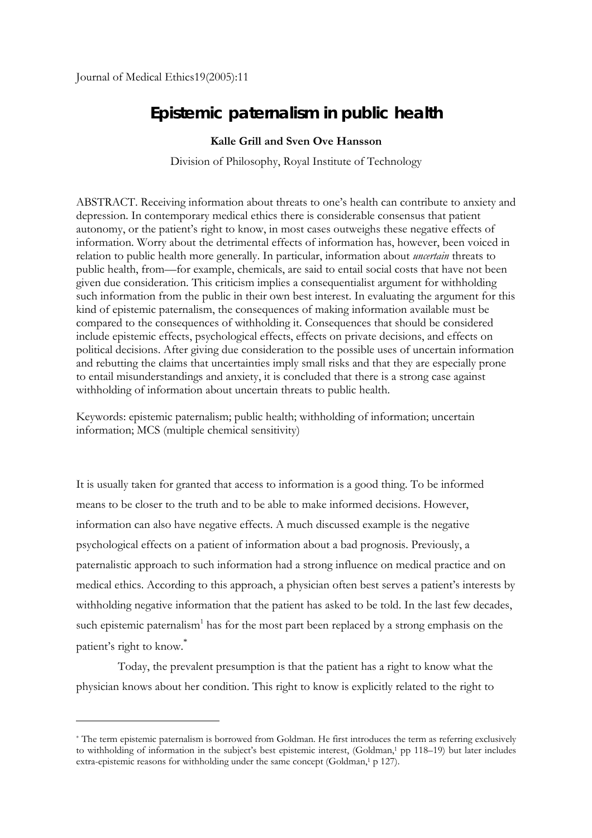$\overline{a}$ 

# **Epistemic paternalism in public health**

#### **Kalle Grill and Sven Ove Hansson**

Division of Philosophy, Royal Institute of Technology

ABSTRACT. Receiving information about threats to one's health can contribute to anxiety and depression. In contemporary medical ethics there is considerable consensus that patient autonomy, or the patient's right to know, in most cases outweighs these negative effects of information. Worry about the detrimental effects of information has, however, been voiced in relation to public health more generally. In particular, information about *uncertain* threats to public health, from—for example, chemicals, are said to entail social costs that have not been given due consideration. This criticism implies a consequentialist argument for withholding such information from the public in their own best interest. In evaluating the argument for this kind of epistemic paternalism, the consequences of making information available must be compared to the consequences of withholding it. Consequences that should be considered include epistemic effects, psychological effects, effects on private decisions, and effects on political decisions. After giving due consideration to the possible uses of uncertain information and rebutting the claims that uncertainties imply small risks and that they are especially prone to entail misunderstandings and anxiety, it is concluded that there is a strong case against withholding of information about uncertain threats to public health.

Keywords: epistemic paternalism; public health; withholding of information; uncertain information; MCS (multiple chemical sensitivity)

It is usually taken for granted that access to information is a good thing. To be informed means to be closer to the truth and to be able to make informed decisions. However, information can also have negative effects. A much discussed example is the negative psychological effects on a patient of information about a bad prognosis. Previously, a paternalistic approach to such information had a strong influence on medical practice and on medical ethics. According to this approach, a physician often best serves a patient's interests by withholding negative information that the patient has asked to be told. In the last few decades, such epistemic paternalism<sup>1</sup> has for the most part been replaced by a strong emphasis on the patient's right to know.<sup>[\\*](#page-0-0)</sup>

 Today, the prevalent presumption is that the patient has a right to know what the physician knows about her condition. This right to know is explicitly related to the right to

<span id="page-0-0"></span><sup>\*</sup> The term epistemic paternalism is borrowed from Goldman. He first introduces the term as referring exclusively to withholding of information in the subject's best epistemic interest, (Goldman,<sup>1</sup> pp 118–19) but later includes extra-epistemic reasons for withholding under the same concept (Goldman,<sup>1</sup> p 127).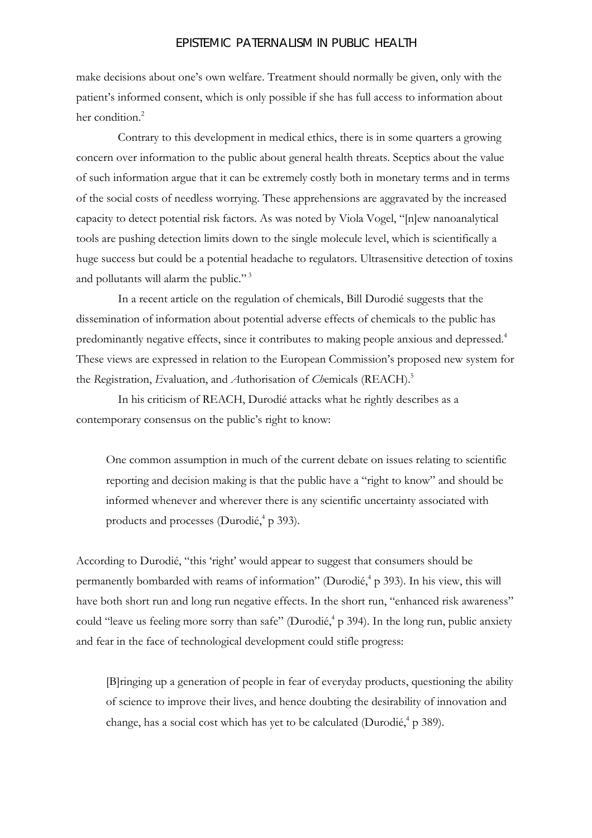make decisions about one's own welfare. Treatment should normally be given, only with the patient's informed consent, which is only possible if she has full access to information about her condition.<sup>2</sup>

 Contrary to this development in medical ethics, there is in some quarters a growing concern over information to the public about general health threats. Sceptics about the value of such information argue that it can be extremely costly both in monetary terms and in terms of the social costs of needless worrying. These apprehensions are aggravated by the increased capacity to detect potential risk factors. As was noted by Viola Vogel, "[n]ew nanoanalytical tools are pushing detection limits down to the single molecule level, which is scientifically a huge success but could be a potential headache to regulators. Ultrasensitive detection of toxins and pollutants will alarm the public."<sup>3</sup>

 In a recent article on the regulation of chemicals, Bill Durodié suggests that the dissemination of information about potential adverse effects of chemicals to the public has predominantly negative effects, since it contributes to making people anxious and depressed.4 These views are expressed in relation to the European Commission's proposed new system for the *R*egistration, *E*valuation, and *A*uthorisation of *Ch*emicals (REACH).5

 In his criticism of REACH, Durodié attacks what he rightly describes as a contemporary consensus on the public's right to know:

One common assumption in much of the current debate on issues relating to scientific reporting and decision making is that the public have a "right to know" and should be informed whenever and wherever there is any scientific uncertainty associated with products and processes (Durodié,<sup>4</sup> p 393).

According to Durodié, "this 'right' would appear to suggest that consumers should be permanently bombarded with reams of information" (Durodié,<sup>4</sup> p 393). In his view, this will have both short run and long run negative effects. In the short run, "enhanced risk awareness" could "leave us feeling more sorry than safe" (Durodié,<sup>4</sup> p 394). In the long run, public anxiety and fear in the face of technological development could stifle progress:

[B]ringing up a generation of people in fear of everyday products, questioning the ability of science to improve their lives, and hence doubting the desirability of innovation and change, has a social cost which has yet to be calculated (Durodié, $^{4}$  p 389).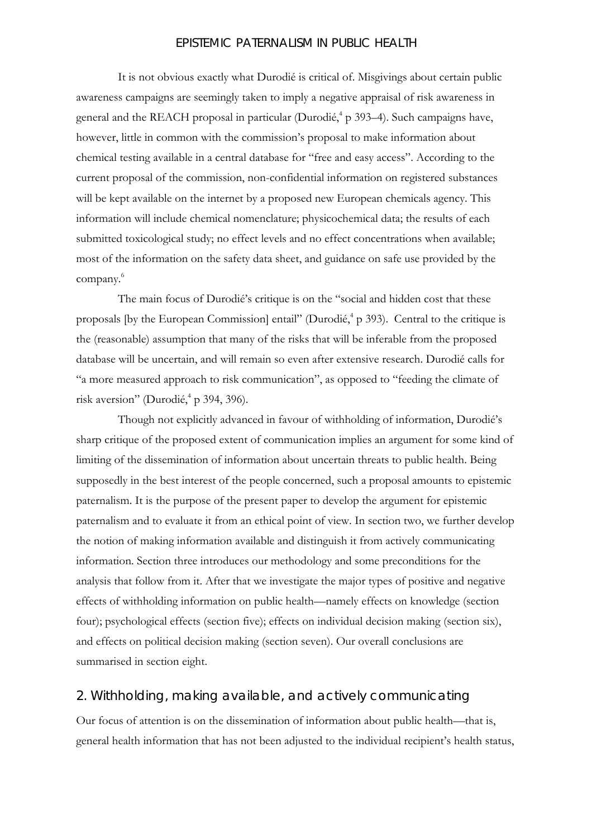It is not obvious exactly what Durodié is critical of. Misgivings about certain public awareness campaigns are seemingly taken to imply a negative appraisal of risk awareness in general and the REACH proposal in particular (Durodié,<sup>4</sup> p 393–4). Such campaigns have, however, little in common with the commission's proposal to make information about chemical testing available in a central database for "free and easy access". According to the current proposal of the commission, non-confidential information on registered substances will be kept available on the internet by a proposed new European chemicals agency. This information will include chemical nomenclature; physicochemical data; the results of each submitted toxicological study; no effect levels and no effect concentrations when available; most of the information on the safety data sheet, and guidance on safe use provided by the company.6

 The main focus of Durodié's critique is on the "social and hidden cost that these proposals [by the European Commission] entail" (Durodié,<sup>4</sup> p 393). Central to the critique is the (reasonable) assumption that many of the risks that will be inferable from the proposed database will be uncertain, and will remain so even after extensive research. Durodié calls for "a more measured approach to risk communication", as opposed to "feeding the climate of risk aversion" (Durodié,<sup>4</sup> p 394, 396).

 Though not explicitly advanced in favour of withholding of information, Durodié's sharp critique of the proposed extent of communication implies an argument for some kind of limiting of the dissemination of information about uncertain threats to public health. Being supposedly in the best interest of the people concerned, such a proposal amounts to epistemic paternalism. It is the purpose of the present paper to develop the argument for epistemic paternalism and to evaluate it from an ethical point of view. In section two, we further develop the notion of making information available and distinguish it from actively communicating information. Section three introduces our methodology and some preconditions for the analysis that follow from it. After that we investigate the major types of positive and negative effects of withholding information on public health—namely effects on knowledge (section four); psychological effects (section five); effects on individual decision making (section six), and effects on political decision making (section seven). Our overall conclusions are summarised in section eight.

## 2. Withholding, making available, and actively communicating

Our focus of attention is on the dissemination of information about public health—that is, general health information that has not been adjusted to the individual recipient's health status,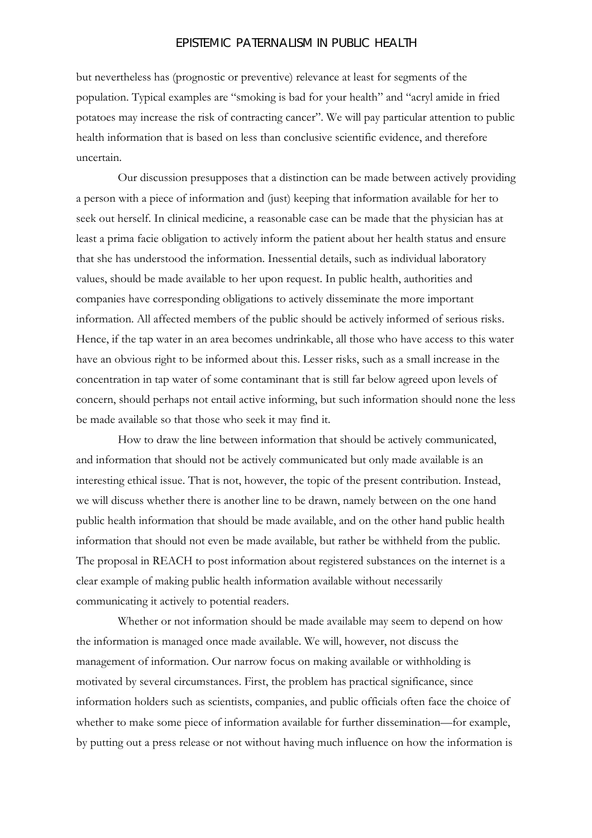but nevertheless has (prognostic or preventive) relevance at least for segments of the population. Typical examples are "smoking is bad for your health" and "acryl amide in fried potatoes may increase the risk of contracting cancer". We will pay particular attention to public health information that is based on less than conclusive scientific evidence, and therefore uncertain.

 Our discussion presupposes that a distinction can be made between actively providing a person with a piece of information and (just) keeping that information available for her to seek out herself. In clinical medicine, a reasonable case can be made that the physician has at least a prima facie obligation to actively inform the patient about her health status and ensure that she has understood the information. Inessential details, such as individual laboratory values, should be made available to her upon request. In public health, authorities and companies have corresponding obligations to actively disseminate the more important information. All affected members of the public should be actively informed of serious risks. Hence, if the tap water in an area becomes undrinkable, all those who have access to this water have an obvious right to be informed about this. Lesser risks, such as a small increase in the concentration in tap water of some contaminant that is still far below agreed upon levels of concern, should perhaps not entail active informing, but such information should none the less be made available so that those who seek it may find it.

 How to draw the line between information that should be actively communicated, and information that should not be actively communicated but only made available is an interesting ethical issue. That is not, however, the topic of the present contribution. Instead, we will discuss whether there is another line to be drawn, namely between on the one hand public health information that should be made available, and on the other hand public health information that should not even be made available, but rather be withheld from the public. The proposal in REACH to post information about registered substances on the internet is a clear example of making public health information available without necessarily communicating it actively to potential readers.

 Whether or not information should be made available may seem to depend on how the information is managed once made available. We will, however, not discuss the management of information. Our narrow focus on making available or withholding is motivated by several circumstances. First, the problem has practical significance, since information holders such as scientists, companies, and public officials often face the choice of whether to make some piece of information available for further dissemination—for example, by putting out a press release or not without having much influence on how the information is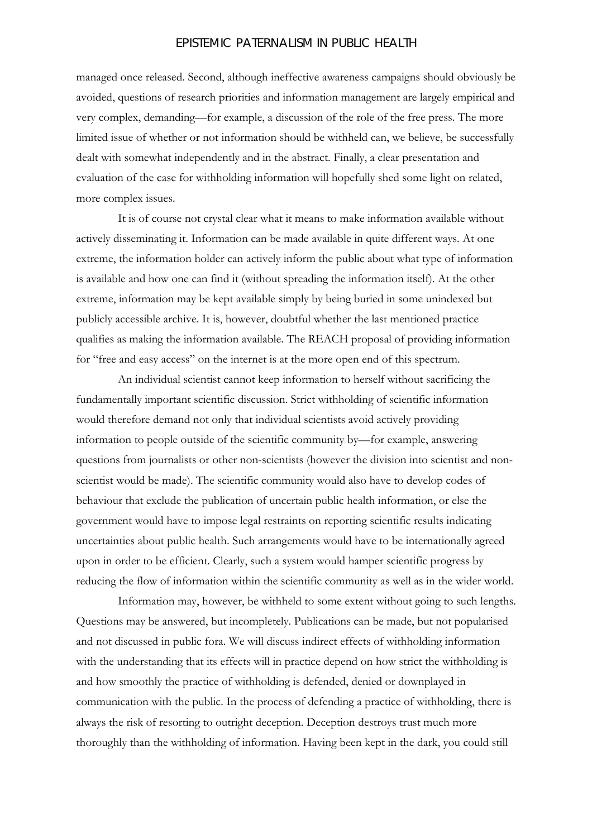managed once released. Second, although ineffective awareness campaigns should obviously be avoided, questions of research priorities and information management are largely empirical and very complex, demanding—for example, a discussion of the role of the free press. The more limited issue of whether or not information should be withheld can, we believe, be successfully dealt with somewhat independently and in the abstract. Finally, a clear presentation and evaluation of the case for withholding information will hopefully shed some light on related, more complex issues.

 It is of course not crystal clear what it means to make information available without actively disseminating it. Information can be made available in quite different ways. At one extreme, the information holder can actively inform the public about what type of information is available and how one can find it (without spreading the information itself). At the other extreme, information may be kept available simply by being buried in some unindexed but publicly accessible archive. It is, however, doubtful whether the last mentioned practice qualifies as making the information available. The REACH proposal of providing information for "free and easy access" on the internet is at the more open end of this spectrum.

 An individual scientist cannot keep information to herself without sacrificing the fundamentally important scientific discussion. Strict withholding of scientific information would therefore demand not only that individual scientists avoid actively providing information to people outside of the scientific community by—for example, answering questions from journalists or other non-scientists (however the division into scientist and nonscientist would be made). The scientific community would also have to develop codes of behaviour that exclude the publication of uncertain public health information, or else the government would have to impose legal restraints on reporting scientific results indicating uncertainties about public health. Such arrangements would have to be internationally agreed upon in order to be efficient. Clearly, such a system would hamper scientific progress by reducing the flow of information within the scientific community as well as in the wider world.

 Information may, however, be withheld to some extent without going to such lengths. Questions may be answered, but incompletely. Publications can be made, but not popularised and not discussed in public fora. We will discuss indirect effects of withholding information with the understanding that its effects will in practice depend on how strict the withholding is and how smoothly the practice of withholding is defended, denied or downplayed in communication with the public. In the process of defending a practice of withholding, there is always the risk of resorting to outright deception. Deception destroys trust much more thoroughly than the withholding of information. Having been kept in the dark, you could still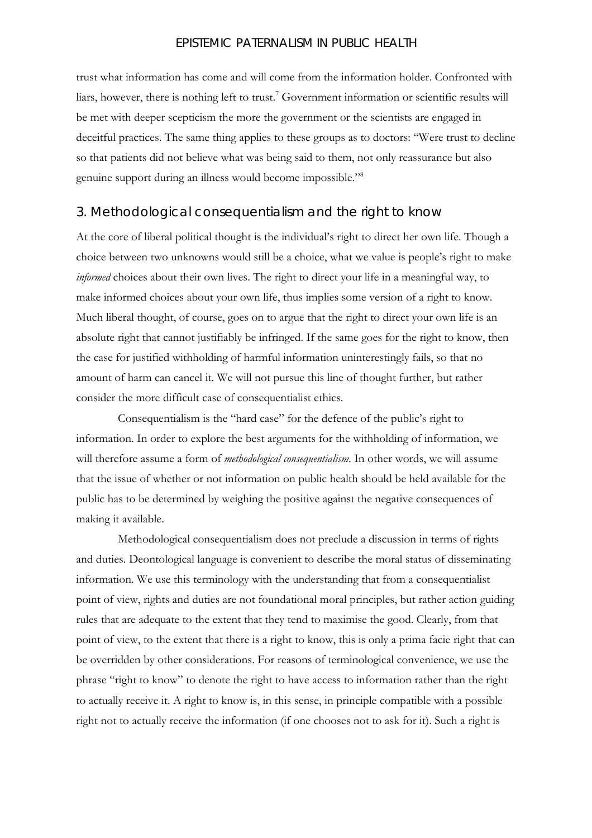trust what information has come and will come from the information holder. Confronted with liars, however, there is nothing left to trust.<sup>7</sup> Government information or scientific results will be met with deeper scepticism the more the government or the scientists are engaged in deceitful practices. The same thing applies to these groups as to doctors: "Were trust to decline so that patients did not believe what was being said to them, not only reassurance but also genuine support during an illness would become impossible."8

#### 3. Methodological consequentialism and the right to know

At the core of liberal political thought is the individual's right to direct her own life. Though a choice between two unknowns would still be a choice, what we value is people's right to make *informed* choices about their own lives. The right to direct your life in a meaningful way, to make informed choices about your own life, thus implies some version of a right to know. Much liberal thought, of course, goes on to argue that the right to direct your own life is an absolute right that cannot justifiably be infringed. If the same goes for the right to know, then the case for justified withholding of harmful information uninterestingly fails, so that no amount of harm can cancel it. We will not pursue this line of thought further, but rather consider the more difficult case of consequentialist ethics.

 Consequentialism is the "hard case" for the defence of the public's right to information. In order to explore the best arguments for the withholding of information, we will therefore assume a form of *methodological consequentialism*. In other words, we will assume that the issue of whether or not information on public health should be held available for the public has to be determined by weighing the positive against the negative consequences of making it available.

 Methodological consequentialism does not preclude a discussion in terms of rights and duties. Deontological language is convenient to describe the moral status of disseminating information. We use this terminology with the understanding that from a consequentialist point of view, rights and duties are not foundational moral principles, but rather action guiding rules that are adequate to the extent that they tend to maximise the good. Clearly, from that point of view, to the extent that there is a right to know, this is only a prima facie right that can be overridden by other considerations. For reasons of terminological convenience, we use the phrase "right to know" to denote the right to have access to information rather than the right to actually receive it. A right to know is, in this sense, in principle compatible with a possible right not to actually receive the information (if one chooses not to ask for it). Such a right is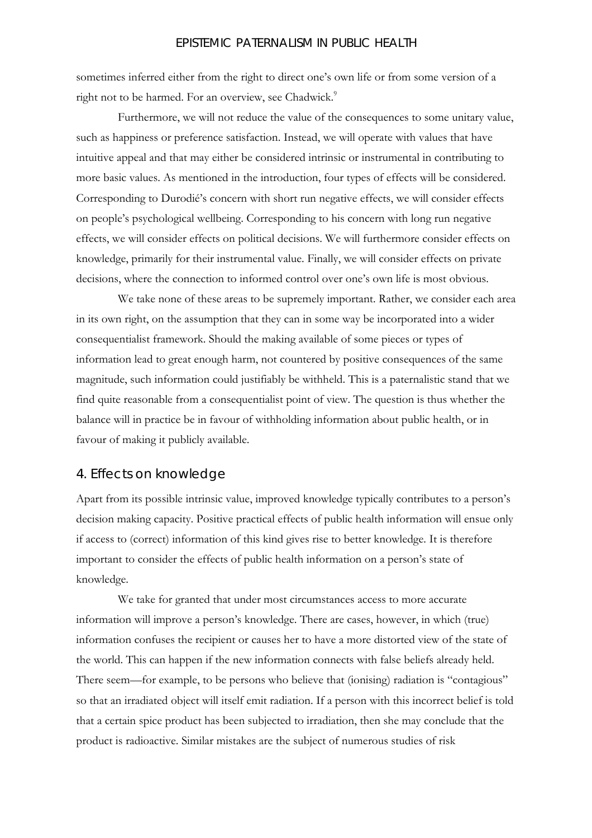sometimes inferred either from the right to direct one's own life or from some version of a right not to be harmed. For an overview, see Chadwick.<sup>9</sup>

 Furthermore, we will not reduce the value of the consequences to some unitary value, such as happiness or preference satisfaction. Instead, we will operate with values that have intuitive appeal and that may either be considered intrinsic or instrumental in contributing to more basic values. As mentioned in the introduction, four types of effects will be considered. Corresponding to Durodié's concern with short run negative effects, we will consider effects on people's psychological wellbeing. Corresponding to his concern with long run negative effects, we will consider effects on political decisions. We will furthermore consider effects on knowledge, primarily for their instrumental value. Finally, we will consider effects on private decisions, where the connection to informed control over one's own life is most obvious.

 We take none of these areas to be supremely important. Rather, we consider each area in its own right, on the assumption that they can in some way be incorporated into a wider consequentialist framework. Should the making available of some pieces or types of information lead to great enough harm, not countered by positive consequences of the same magnitude, such information could justifiably be withheld. This is a paternalistic stand that we find quite reasonable from a consequentialist point of view. The question is thus whether the balance will in practice be in favour of withholding information about public health, or in favour of making it publicly available.

# 4. Effects on knowledge

Apart from its possible intrinsic value, improved knowledge typically contributes to a person's decision making capacity. Positive practical effects of public health information will ensue only if access to (correct) information of this kind gives rise to better knowledge. It is therefore important to consider the effects of public health information on a person's state of knowledge.

 We take for granted that under most circumstances access to more accurate information will improve a person's knowledge. There are cases, however, in which (true) information confuses the recipient or causes her to have a more distorted view of the state of the world. This can happen if the new information connects with false beliefs already held. There seem—for example, to be persons who believe that (ionising) radiation is "contagious" so that an irradiated object will itself emit radiation. If a person with this incorrect belief is told that a certain spice product has been subjected to irradiation, then she may conclude that the product is radioactive. Similar mistakes are the subject of numerous studies of risk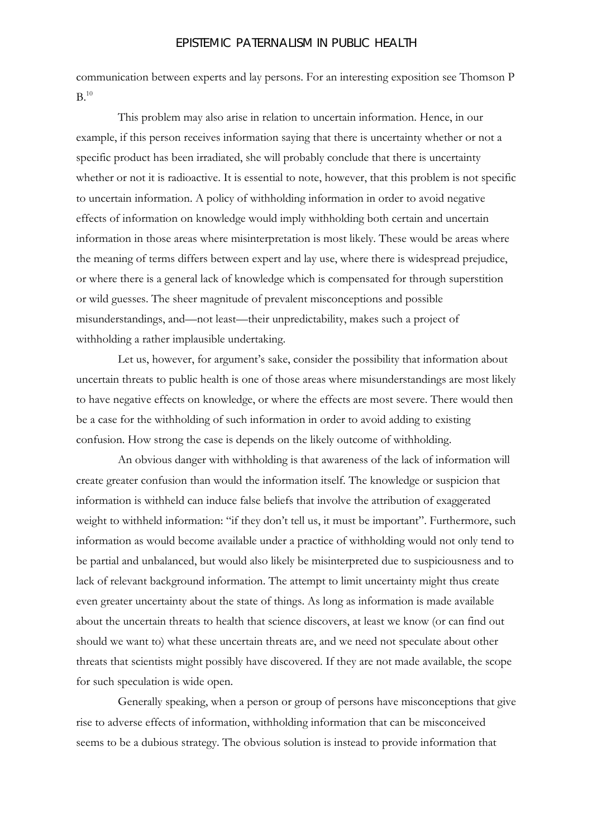communication between experts and lay persons. For an interesting exposition see Thomson P  $B$ <sup>10</sup>

 This problem may also arise in relation to uncertain information. Hence, in our example, if this person receives information saying that there is uncertainty whether or not a specific product has been irradiated, she will probably conclude that there is uncertainty whether or not it is radioactive. It is essential to note, however, that this problem is not specific to uncertain information. A policy of withholding information in order to avoid negative effects of information on knowledge would imply withholding both certain and uncertain information in those areas where misinterpretation is most likely. These would be areas where the meaning of terms differs between expert and lay use, where there is widespread prejudice, or where there is a general lack of knowledge which is compensated for through superstition or wild guesses. The sheer magnitude of prevalent misconceptions and possible misunderstandings, and—not least—their unpredictability, makes such a project of withholding a rather implausible undertaking.

 Let us, however, for argument's sake, consider the possibility that information about uncertain threats to public health is one of those areas where misunderstandings are most likely to have negative effects on knowledge, or where the effects are most severe. There would then be a case for the withholding of such information in order to avoid adding to existing confusion. How strong the case is depends on the likely outcome of withholding.

 An obvious danger with withholding is that awareness of the lack of information will create greater confusion than would the information itself. The knowledge or suspicion that information is withheld can induce false beliefs that involve the attribution of exaggerated weight to withheld information: "if they don't tell us, it must be important". Furthermore, such information as would become available under a practice of withholding would not only tend to be partial and unbalanced, but would also likely be misinterpreted due to suspiciousness and to lack of relevant background information. The attempt to limit uncertainty might thus create even greater uncertainty about the state of things. As long as information is made available about the uncertain threats to health that science discovers, at least we know (or can find out should we want to) what these uncertain threats are, and we need not speculate about other threats that scientists might possibly have discovered. If they are not made available, the scope for such speculation is wide open.

 Generally speaking, when a person or group of persons have misconceptions that give rise to adverse effects of information, withholding information that can be misconceived seems to be a dubious strategy. The obvious solution is instead to provide information that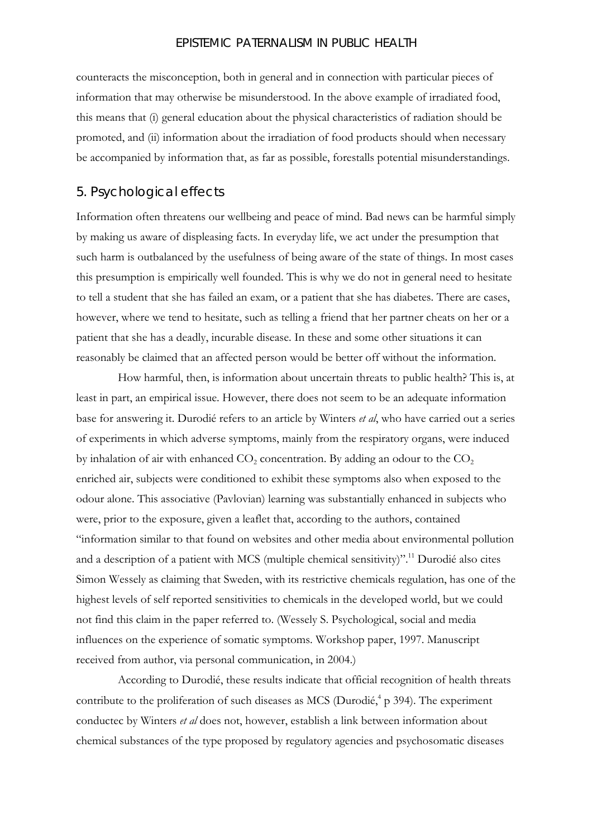counteracts the misconception, both in general and in connection with particular pieces of information that may otherwise be misunderstood. In the above example of irradiated food, this means that (i) general education about the physical characteristics of radiation should be promoted, and (ii) information about the irradiation of food products should when necessary be accompanied by information that, as far as possible, forestalls potential misunderstandings.

# 5. Psychological effects

Information often threatens our wellbeing and peace of mind. Bad news can be harmful simply by making us aware of displeasing facts. In everyday life, we act under the presumption that such harm is outbalanced by the usefulness of being aware of the state of things. In most cases this presumption is empirically well founded. This is why we do not in general need to hesitate to tell a student that she has failed an exam, or a patient that she has diabetes. There are cases, however, where we tend to hesitate, such as telling a friend that her partner cheats on her or a patient that she has a deadly, incurable disease. In these and some other situations it can reasonably be claimed that an affected person would be better off without the information.

 How harmful, then, is information about uncertain threats to public health? This is, at least in part, an empirical issue. However, there does not seem to be an adequate information base for answering it. Durodié refers to an article by Winters *et al*, who have carried out a series of experiments in which adverse symptoms, mainly from the respiratory organs, were induced by inhalation of air with enhanced  $CO<sub>2</sub>$  concentration. By adding an odour to the  $CO<sub>2</sub>$ enriched air, subjects were conditioned to exhibit these symptoms also when exposed to the odour alone. This associative (Pavlovian) learning was substantially enhanced in subjects who were, prior to the exposure, given a leaflet that, according to the authors, contained "information similar to that found on websites and other media about environmental pollution and a description of a patient with MCS (multiple chemical sensitivity)".11 Durodié also cites Simon Wessely as claiming that Sweden, with its restrictive chemicals regulation, has one of the highest levels of self reported sensitivities to chemicals in the developed world, but we could not find this claim in the paper referred to. (Wessely S. Psychological, social and media influences on the experience of somatic symptoms. Workshop paper, 1997. Manuscript received from author, via personal communication, in 2004.)

 According to Durodié, these results indicate that official recognition of health threats contribute to the proliferation of such diseases as MCS (Durodié,<sup>4</sup> p 394). The experiment conductec by Winters *et al* does not, however, establish a link between information about chemical substances of the type proposed by regulatory agencies and psychosomatic diseases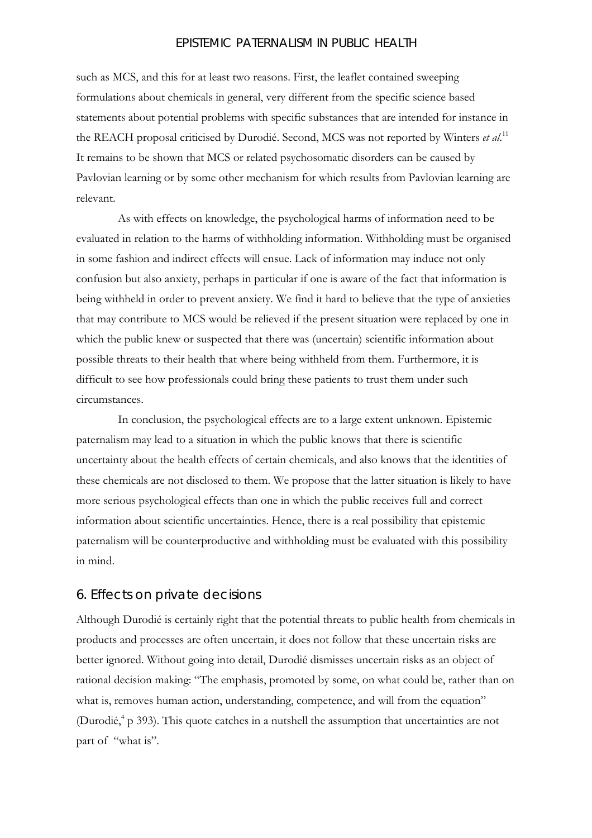such as MCS, and this for at least two reasons. First, the leaflet contained sweeping formulations about chemicals in general, very different from the specific science based statements about potential problems with specific substances that are intended for instance in the REACH proposal criticised by Durodié. Second, MCS was not reported by Winters *et al*. 11 It remains to be shown that MCS or related psychosomatic disorders can be caused by Pavlovian learning or by some other mechanism for which results from Pavlovian learning are relevant.

 As with effects on knowledge, the psychological harms of information need to be evaluated in relation to the harms of withholding information. Withholding must be organised in some fashion and indirect effects will ensue. Lack of information may induce not only confusion but also anxiety, perhaps in particular if one is aware of the fact that information is being withheld in order to prevent anxiety. We find it hard to believe that the type of anxieties that may contribute to MCS would be relieved if the present situation were replaced by one in which the public knew or suspected that there was (uncertain) scientific information about possible threats to their health that where being withheld from them. Furthermore, it is difficult to see how professionals could bring these patients to trust them under such circumstances.

 In conclusion, the psychological effects are to a large extent unknown. Epistemic paternalism may lead to a situation in which the public knows that there is scientific uncertainty about the health effects of certain chemicals, and also knows that the identities of these chemicals are not disclosed to them. We propose that the latter situation is likely to have more serious psychological effects than one in which the public receives full and correct information about scientific uncertainties. Hence, there is a real possibility that epistemic paternalism will be counterproductive and withholding must be evaluated with this possibility in mind.

## 6. Effects on private decisions

Although Durodié is certainly right that the potential threats to public health from chemicals in products and processes are often uncertain, it does not follow that these uncertain risks are better ignored. Without going into detail, Durodié dismisses uncertain risks as an object of rational decision making: "The emphasis, promoted by some, on what could be, rather than on what is, removes human action, understanding, competence, and will from the equation" (Durodié,<sup>4</sup> p 393). This quote catches in a nutshell the assumption that uncertainties are not part of "what is".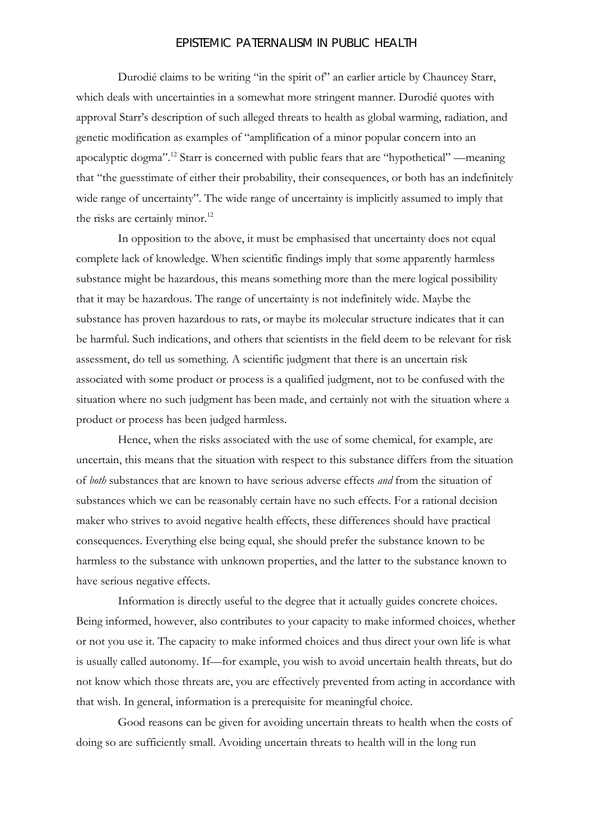Durodié claims to be writing "in the spirit of" an earlier article by Chauncey Starr, which deals with uncertainties in a somewhat more stringent manner. Durodié quotes with approval Starr's description of such alleged threats to health as global warming, radiation, and genetic modification as examples of "amplification of a minor popular concern into an apocalyptic dogma".12 Starr is concerned with public fears that are "hypothetical" —meaning that "the guesstimate of either their probability, their consequences, or both has an indefinitely wide range of uncertainty". The wide range of uncertainty is implicitly assumed to imply that the risks are certainly minor.<sup>12</sup>

 In opposition to the above, it must be emphasised that uncertainty does not equal complete lack of knowledge. When scientific findings imply that some apparently harmless substance might be hazardous, this means something more than the mere logical possibility that it may be hazardous. The range of uncertainty is not indefinitely wide. Maybe the substance has proven hazardous to rats, or maybe its molecular structure indicates that it can be harmful. Such indications, and others that scientists in the field deem to be relevant for risk assessment, do tell us something. A scientific judgment that there is an uncertain risk associated with some product or process is a qualified judgment, not to be confused with the situation where no such judgment has been made, and certainly not with the situation where a product or process has been judged harmless.

 Hence, when the risks associated with the use of some chemical, for example, are uncertain, this means that the situation with respect to this substance differs from the situation of *both* substances that are known to have serious adverse effects *and* from the situation of substances which we can be reasonably certain have no such effects. For a rational decision maker who strives to avoid negative health effects, these differences should have practical consequences. Everything else being equal, she should prefer the substance known to be harmless to the substance with unknown properties, and the latter to the substance known to have serious negative effects.

 Information is directly useful to the degree that it actually guides concrete choices. Being informed, however, also contributes to your capacity to make informed choices, whether or not you use it. The capacity to make informed choices and thus direct your own life is what is usually called autonomy. If—for example, you wish to avoid uncertain health threats, but do not know which those threats are, you are effectively prevented from acting in accordance with that wish. In general, information is a prerequisite for meaningful choice.

 Good reasons can be given for avoiding uncertain threats to health when the costs of doing so are sufficiently small. Avoiding uncertain threats to health will in the long run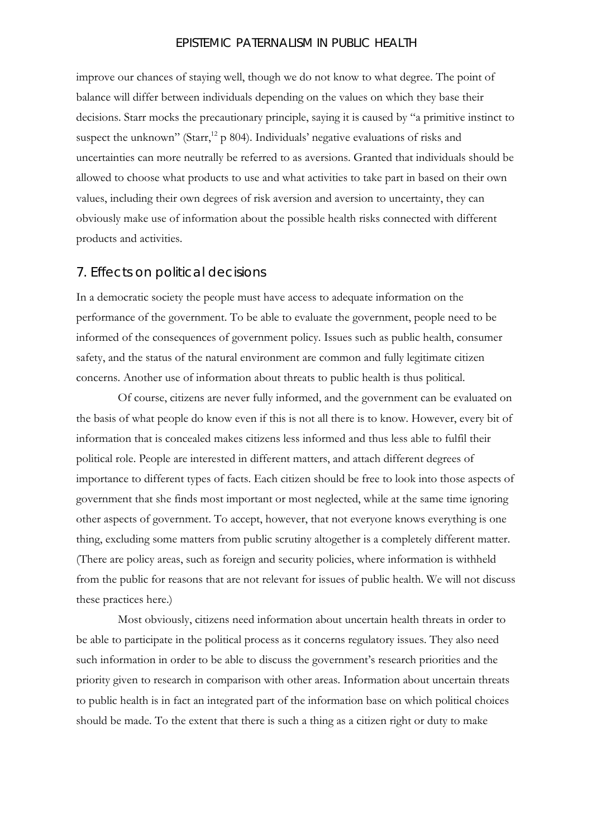improve our chances of staying well, though we do not know to what degree. The point of balance will differ between individuals depending on the values on which they base their decisions. Starr mocks the precautionary principle, saying it is caused by "a primitive instinct to suspect the unknown" (Starr,<sup>12</sup> p 804). Individuals' negative evaluations of risks and uncertainties can more neutrally be referred to as aversions. Granted that individuals should be allowed to choose what products to use and what activities to take part in based on their own values, including their own degrees of risk aversion and aversion to uncertainty, they can obviously make use of information about the possible health risks connected with different products and activities.

# 7. Effects on political decisions

In a democratic society the people must have access to adequate information on the performance of the government. To be able to evaluate the government, people need to be informed of the consequences of government policy. Issues such as public health, consumer safety, and the status of the natural environment are common and fully legitimate citizen concerns. Another use of information about threats to public health is thus political.

 Of course, citizens are never fully informed, and the government can be evaluated on the basis of what people do know even if this is not all there is to know. However, every bit of information that is concealed makes citizens less informed and thus less able to fulfil their political role. People are interested in different matters, and attach different degrees of importance to different types of facts. Each citizen should be free to look into those aspects of government that she finds most important or most neglected, while at the same time ignoring other aspects of government. To accept, however, that not everyone knows everything is one thing, excluding some matters from public scrutiny altogether is a completely different matter. (There are policy areas, such as foreign and security policies, where information is withheld from the public for reasons that are not relevant for issues of public health. We will not discuss these practices here.)

 Most obviously, citizens need information about uncertain health threats in order to be able to participate in the political process as it concerns regulatory issues. They also need such information in order to be able to discuss the government's research priorities and the priority given to research in comparison with other areas. Information about uncertain threats to public health is in fact an integrated part of the information base on which political choices should be made. To the extent that there is such a thing as a citizen right or duty to make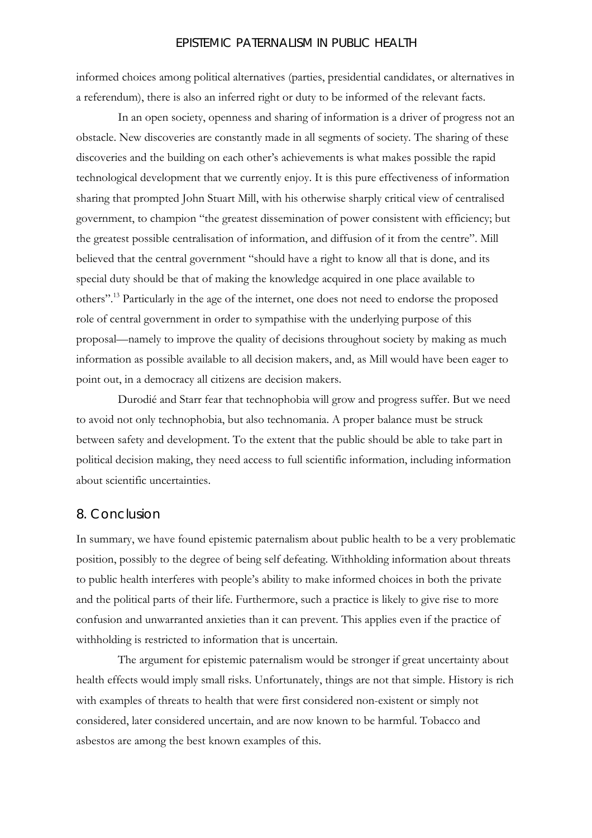informed choices among political alternatives (parties, presidential candidates, or alternatives in a referendum), there is also an inferred right or duty to be informed of the relevant facts.

 In an open society, openness and sharing of information is a driver of progress not an obstacle. New discoveries are constantly made in all segments of society. The sharing of these discoveries and the building on each other's achievements is what makes possible the rapid technological development that we currently enjoy. It is this pure effectiveness of information sharing that prompted John Stuart Mill, with his otherwise sharply critical view of centralised government, to champion "the greatest dissemination of power consistent with efficiency; but the greatest possible centralisation of information, and diffusion of it from the centre". Mill believed that the central government "should have a right to know all that is done, and its special duty should be that of making the knowledge acquired in one place available to others".13 Particularly in the age of the internet, one does not need to endorse the proposed role of central government in order to sympathise with the underlying purpose of this proposal—namely to improve the quality of decisions throughout society by making as much information as possible available to all decision makers, and, as Mill would have been eager to point out, in a democracy all citizens are decision makers.

 Durodié and Starr fear that technophobia will grow and progress suffer. But we need to avoid not only technophobia, but also technomania. A proper balance must be struck between safety and development. To the extent that the public should be able to take part in political decision making, they need access to full scientific information, including information about scientific uncertainties.

#### 8. Conclusion

In summary, we have found epistemic paternalism about public health to be a very problematic position, possibly to the degree of being self defeating. Withholding information about threats to public health interferes with people's ability to make informed choices in both the private and the political parts of their life. Furthermore, such a practice is likely to give rise to more confusion and unwarranted anxieties than it can prevent. This applies even if the practice of withholding is restricted to information that is uncertain.

 The argument for epistemic paternalism would be stronger if great uncertainty about health effects would imply small risks. Unfortunately, things are not that simple. History is rich with examples of threats to health that were first considered non-existent or simply not considered, later considered uncertain, and are now known to be harmful. Tobacco and asbestos are among the best known examples of this.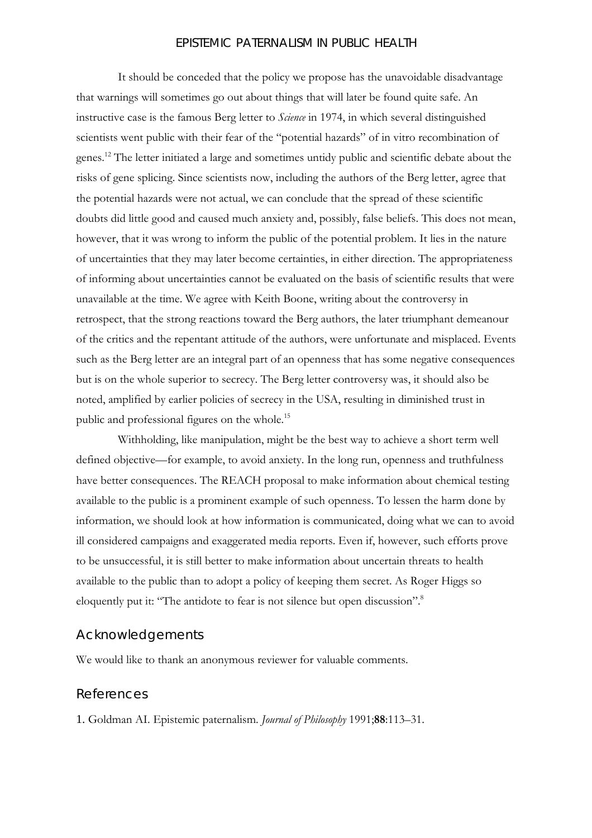It should be conceded that the policy we propose has the unavoidable disadvantage that warnings will sometimes go out about things that will later be found quite safe. An instructive case is the famous Berg letter to *Science* in 1974, in which several distinguished scientists went public with their fear of the "potential hazards" of in vitro recombination of genes.<sup>12</sup> The letter initiated a large and sometimes untidy public and scientific debate about the risks of gene splicing. Since scientists now, including the authors of the Berg letter, agree that the potential hazards were not actual, we can conclude that the spread of these scientific doubts did little good and caused much anxiety and, possibly, false beliefs. This does not mean, however, that it was wrong to inform the public of the potential problem. It lies in the nature of uncertainties that they may later become certainties, in either direction. The appropriateness of informing about uncertainties cannot be evaluated on the basis of scientific results that were unavailable at the time. We agree with Keith Boone, writing about the controversy in retrospect, that the strong reactions toward the Berg authors, the later triumphant demeanour of the critics and the repentant attitude of the authors, were unfortunate and misplaced. Events such as the Berg letter are an integral part of an openness that has some negative consequences but is on the whole superior to secrecy. The Berg letter controversy was, it should also be noted, amplified by earlier policies of secrecy in the USA, resulting in diminished trust in public and professional figures on the whole.15

 Withholding, like manipulation, might be the best way to achieve a short term well defined objective—for example, to avoid anxiety. In the long run, openness and truthfulness have better consequences. The REACH proposal to make information about chemical testing available to the public is a prominent example of such openness. To lessen the harm done by information, we should look at how information is communicated, doing what we can to avoid ill considered campaigns and exaggerated media reports. Even if, however, such efforts prove to be unsuccessful, it is still better to make information about uncertain threats to health available to the public than to adopt a policy of keeping them secret. As Roger Higgs so eloquently put it: "The antidote to fear is not silence but open discussion".<sup>8</sup>

#### Acknowledgements

We would like to thank an anonymous reviewer for valuable comments.

#### References

1. Goldman AI. Epistemic paternalism. *Journal of Philosophy* 1991;**88**:113–31.